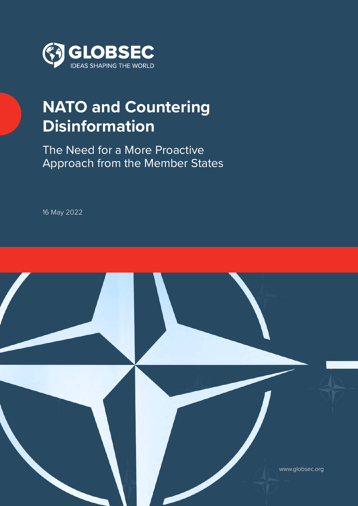

# **NATO and Countering Disinformation**

The Need for a More Proactive Approach from the Member States

16 May 2022

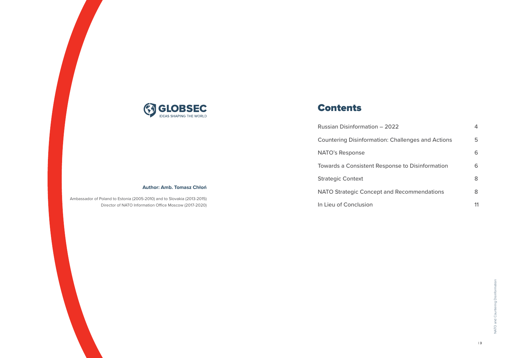

#### **Author: Amb. Tomasz Chłoń**

Ambassador of Poland to Estonia (2005-2010) and to Slovakia (2013-2015) Director of NATO Information Office Moscow (2017-2020)

# **Contents**

Russian Disinformation -

Countering Disinformatio

[NATO's Response](#page-3-0)

Towards a Consistent Res

**[Strategic Context](#page-4-0)** 

NATO Strategic Concept

[In Lieu of Conclusion](#page-5-0)

| $-2022$                    |   |
|----------------------------|---|
| on: Challenges and Actions | 5 |
|                            | 6 |
| sponse to Disinformation   | 6 |
|                            | 8 |
| and Recommendations        | 8 |
|                            |   |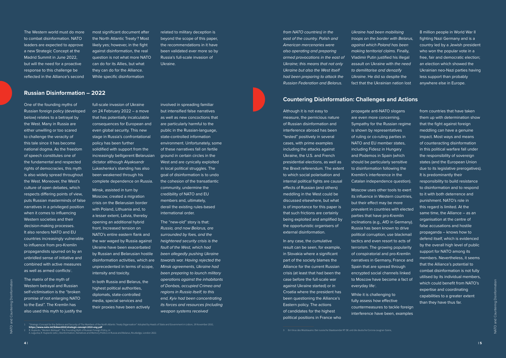NATO and Countering Disinformation

<span id="page-2-0"></span>The Western world must do more to combat disinformation. NATO leaders are expected to approve a new Strategic Concept at the Madrid Summit in June 2022, but will the need for a proactive response to this challenge be reflected in the Alliance's second

One of the founding myths of Russian foreign policy (developed below) relates to a betrayal by the West. Many in Russia are either unwilling or too scared to challenge the veracity of this tale since it has become national dogma. As the freedom of speech constitutes one of the fundamental and respected rights of democracies, this myth is also widely spread throughout the West. Moreover, the West's culture of open debates, which respects differing points of view, puts Russian masterminds of false narratives in a privileged position when it comes to influencing Western societies and their decision-making processes. It also renders NATO and EU countries increasingly vulnerable to influence from pro-Kremlin propagandists spurred on by an unbridled sense of initiative and combined with active measures as well as armed conflicts<sup>2</sup>.

2 R. Kupiecki, "Western Betrayal": The Founding Myth of Russian Foreign Policy, in: A. Legucka, R. Kupiecki (eds.), Disinformation, Narratives and Memory Politics in Russia and Belarus, Routledge, London 2022.

most significant document after the North Atlantic Treaty<sup>1</sup>? Most likely yes; however, in the fight against disinformation, the real question is not what more NATO can do for its Allies, but what they can do for the Alliance. While specific disinformation

related to military deception is beyond the scope of this paper, the recommendations in it have been validated ever more so by Russia's full-scale invasion of Ukraine.

#### **Russian Disinformation – 2022**

The matrix of the myth of Western betrayal and Russian self-victimisation is the "broken promise of not enlarging NATO to the East". The Kremlin has also used this myth to justify the

full-scale invasion of Ukraine on 24 February 2022 – a move that has potentially incalculable consequences for European and even global security. This new stage in Russia's confrontational policy has been further solidified with support from the increasingly belligerent Belarusian dictator although Alyaksandr Lukashenka's standing has also been weakened through his complete dependence on Russia.

Minsk, assisted in turn by Moscow, created a migration crisis on the Belarusian border with Poland, Lithuania and, to a lesser extent, Latvia, thereby opening an additional hybrid front. Increased tension on NATO's entire eastern flank and the war waged by Russia against Ukraine have been exacerbated by Russian and Belarusian hostile disinformation activities, which are unprecedented in terms of scope, intensity and toxicity.

In both Russia and Belarus, the highest political authorities, diplomats, state-controlled media, special services and their proxies have been actively but their effect may be more parties that have pro-Kremlin Russia has been known to drive political corruption, use blackmail tactics and even resort to acts of terrorism. The growing popularity of conspiratorial and pro-Kremlin Spain that are spread through encrypted social channels linked everyday life<sup>3</sup>.

involved in spreading familiar but intensified false narratives as well as new concoctions that are particularly harmful to the public in the Russian-language, state-controlled information environment. Unfortunately, some of these narratives fall on fertile ground in certain circles in the West and are cynically exploited in local political struggles. The goal of disinformation is to undo the cohesion of the transatlantic community, undermine the credibility of NATO and EU members and, ultimately, derail the existing rules-based international order.

The "new-old" story is that: *Russia, and now Belarus, are surrounded by foes, and the heightened security crisis is the fault of the West, which had been allegedly pushing Ukraine towards war. Having rejected the Minsk agreements, Ukraine had been preparing to launch military operations against the inhabitants of Donbas, occupied Crimea and regions in Russia itself; to this end, Kyiv had been concentrating its forces and resources (including weapon systems received* 

*from NATO countries) in the east of the country. Polish and American mercenaries were also operating and preparing armed provocations in the east of Ukraine; this means that not only Ukraine but also the West itself had been preparing to attack the Russian Federation and Belarus.* 

*Ukraine had been mobilising troops on the border with Belarus, against which Poland has been making territorial claims.* Finally, Vladimir Putin justified his illegal assault on Ukraine with *the need to demilitarise and denazify Ukraine*. He did so despite the fact that the Ukrainian nation lost

8 million people in World War II fighting Nazi Germany and is a country led by a Jewish president who won the popular vote in a free, fair and democratic election; an election which showed the Ukrainian neo-Nazi parties having less support than probably anywhere else in Europe.

### **Countering Disinformation: Challenges and Actions**

Although it is not easy to measure, the pernicious nature of Russian disinformation and interference abroad has been "tested" positively in several cases, with prime examples including the attacks against Ukraine, the U.S. and French presidential elections, as well as the Brexit referendum. The extent to which social polarisation and internal political fights are causal effects of Russian (and others) meddling in the West could be discussed elsewhere, but what is of importance for this paper is that such frictions are certainly being exploited and amplified by the opportunistic organisers of external disinformation.

In any case, the cumulative result can be seen, for example, in Slovakia where a significant part of the society blames the Alliance for the current Russian crisis (at least that had been the case before the full-scale war against Ukraine started) or in Croatia where the president has been questioning the Alliance's Eastern policy. The actions of candidates for the highest political positions in France who

propagate anti-NATO slogans are even more concerning. Sympathy for the Russian regime is shown by representatives of ruling or co-ruling parties in NATO and EU member states, including Fidesz in Hungary and Podemos in Spain (which should be particularly sensitive to disinformation following the Kremlin's interference in the Catalan independence question).

Moscow uses other tools to exert its influence in Western countries, prevalent in countries with elected inclinations (e.g., AfD in Germany). narratives in Germany, France and to Moscow have become a fact of

While it is challenging to fully assess how effective countermeasures to tackle foreign interference have been, examples

from countries that have taken them up with determination show that the fight against foreign meddling can have a genuine impact. Most ways and means of counteracting disinformation in this political warfare fall under the responsibility of sovereign states (and the European Union due to its legislative prerogatives). It is predominantly their responsibility to build resistance to disinformation and to respond to it with both deterrence and punishment. NATO's role in this regard is limited. At the same time, the Alliance – as an organisation at the centre of false accusations and hostile propaganda – knows how to defend itself, which is evidenced by the overall high level of public support for NATO among its members. Nevertheless, it seems that the Alliance's potential to combat disinformation is not fully utilised by its individual members, which could benefit from NATO's expertise and coordinating capabilities to a greater extent than they have thus far.

<sup>&</sup>quot;Strategic Concept for the Defence and Security of The Members of the North Atlantic Treaty Organisation" Adopted by Heads of State and Government in Lisbon, 19 November 2010, https://www.nato.int/lisbon2010/strategic-conc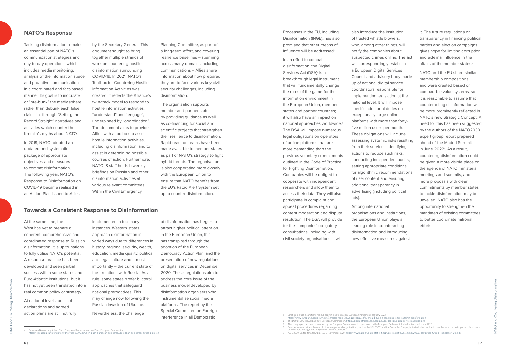#### <span id="page-3-0"></span>**NATO's Response**

Tackling disinformation remains an essential part of NATO's communication strategies and day-to-day operations, which includes media monitoring, analysis of the information space and proactive communication in a coordinated and fact-based manner. Its goal is to inoculate or "pre-bunk" the mediasphere rather than debunk each false claim, i.a. through "Setting the Record Straight" narratives and activities which counter the Kremlin's myths about NATO.

In 2019, NATO adopted an updated and systematic package of appropriate objectives and measures to combat disinformation. The following year, NATO's Response to Disinformation on COVID-19 became realised in an Action Plan issued to Allies

by the Secretary General. This document sought to bring together multiple strands of work on countering hostile disinformation surrounding COVID-19. In 2021, NATO's Toolbox for Countering Hostile Information Activities was created; it reflects the Alliance's twin-track model to respond to hostile information activities: "understand" and "engage", underpinned by "coordination". The document aims to provide Allies with a toolbox to assess hostile information activities, including disinformation, and to assist in determining possible courses of action. Furthermore, NATO IS staff holds biweekly briefings on Russian and other disinformation activities at various relevant committees. Within the Civil Emergency

Planning Committee, as part of a long-term effort, and covering resilience baselines – spanning across many domains including communications – Allies share information about how prepared they are to face various key civil security challenges, including disinformation.

Processes in the EU, including Disinformation (INGE), has also promised that other means of influence will be addressed<sup>5</sup>.

The organisation supports member and partner states by providing guidance as well as co-financing for social and scientific projects that strengthen their resilience to disinformation. Rapid-reaction teams have been made available to member states as part of NATO's strategy to fight hybrid threats. The organisation is also cooperating more closely with the European Union to ensure that NATO benefits from the EU's Rapid Alert System set up to counter disinformation.

#### **Towards a Consistent Response to Disinformation**

At the same time, the West has yet to prepare a coherent, comprehensive and coordinated response to Russian disinformation. It is up to nations to fully utilise NATO's potential. A response practice has been developed and seen partial success within some states and Euro-Atlantic institutions, but it has not yet been translated into a real common policy or strategy.

At national levels, political declarations and agreed action plans are still not fully

implemented in too many instances. Western states approach disinformation in varied ways due to differences in history, regional security, wealth, education, media quality, political and legal culture and – most importantly – the current state of their relations with Russia. As a rule, some states prefer bilateral approaches that safeguard national prerogatives. This may change now following the Russian invasion of Ukraine. Nevertheless, the challenge

it. The future regulations on transparency in financing political parties and election campaigns gives hope for limiting corruption and external influence in the affairs of the member states.8

of disinformation has begun to attract higher political attention. In the European Union, this has transpired through the adoption of the European Democracy Action Plan<sup>4</sup> and the presentation of new regulations on digital services in December 2020. These regulations aim to address the core issue of the business model developed by disinformation organisers who instrumentalise social media platforms. The report by the Special Committee on Foreign Interference in all Democratic

In an effort to combat disinformation, the Digital Services Act (DSA)<sup>6</sup> is a breakthrough legal instrument that will fundamentally change the rules of the game for the information environment in the European Union, member states and partner countries; it will also have an impact on national approaches worldwide.<sup>7</sup> The DSA will impose numerous legal obligations on operators of online platforms that are more demanding than the previous voluntary commitments outlined in the Code of Practice for Fighting Disinformation. Companies will be obliged to cooperate with independent researchers and allow them to access their data. They will also participate in complaint and appeal procedures regarding content moderation and dispute resolution. The DSA will provide for the companies' obligatory consultations, including with civil society organisations. It will

also introduce the institution of trusted whistle blowers, who, among other things, will notify the companies about suspected crimes online. The act will correspondingly establish a European Digital Services Council and advisory body made up of national digital service coordinators responsible for implementing legislation at the national level. It will impose specific additional duties on exceptionally large online platforms with more than fortyfive million users per month. These obligations will include assessing systemic risks resulting from their services, identifying actions to reduce such risks, conducting independent audits, setting appropriate conditions for algorithmic recommendations of user content and ensuring additional transparency in advertising (including political ads).

Among international organisations and institutions, the European Union plays a leading role in counteracting disinformation and introducing new effective measures against

NATO and the EU share similar membership compositions and were created based on comparable value systems, so it is reasonable to assume that counteracting disinformation will be more prominently reflected in NATO's new Strategic Concept. A need for this has been suggested by the authors of the NATO2030 expert group report prepared ahead of the Madrid Summit in June 2022<sup>9</sup>. As a result, countering disinformation could be given a more visible place on the agenda of NATO ministerial meetings and summits, and more proposals with clear commitments by member states to tackle disinformation may be unveiled. NATO also has the opportunity to strengthen the mandates of existing committees to better coordinate national efforts.

<sup>4</sup> European Democracy Action Plan, European Democracy Action Plan, European Commission, [https://ec.europa.eu/info/strategy/priorities-2019-2024/new-push-european-democracy/european-democracy-action-plan\\_en](https://ec.europa.eu/info/strategy/priorities-2019-2024/new-push-european-democracy/european-democracy-action-plan_en)

<sup>5</sup> EU should build a sanctions regime against disinformation, European Parliament, January 2022, <https://www.europarl.europa.eu/news/en/press-room/20220119IPR21313/eu-should-build-a-sanctions-regime-against-disinformation>.

<sup>6</sup> The Digital Services Act package, European Commission, [https://digital-strategy.ec.europa.eu/en/policies/digital-services-act-package.](https://digital-strategy.ec.europa.eu/en/policies/digital-services-act-package)

<sup>7</sup> After the project has been presented by the European Commission, it is processed in the European Parliament. It shall enter into force in 2022.

<sup>8</sup> Despite some activities, the role of other international organizations, such as the UN, OSCE, and the Council of Europe, is limited, whether due to membership, the participation of notorious<br>disinformers among them, or s

<sup>9</sup> NATO2030: United for a New Era, NATO, November 2020, [https://www.nato.int/nato\\_static\\_fl2014/assets/pdf/2020/12/pdf/201201-Reflection-Group-Final-Report-Uni.pdf](https://www.nato.int/nato_static_fl2014/assets/pdf/2020/12/pdf/201201-Reflection-Group-Final-Report-Uni.pdf).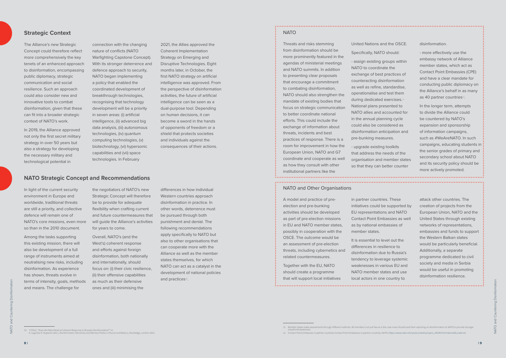#### <span id="page-4-0"></span>**Strategic Context**

The Alliance's new Strategic Concept could therefore reflect more comprehensively the key tenets of an enhanced approach to disinformation, encompassing public diplomacy, strategic communication and social resilience. Such an approach could also consider new and innovative tools to combat disinformation, given that these can fit into a broader strategic context of NATO's work.

In 2019, the Alliance approved not only the first secret military strategy in over 50 years but also a strategy for developing the necessary military and technological potential in

connection with the changing nature of conflicts (NATO Warfighting Capstone Concept). With its stronger deterrence and defence approach to security, NATO began implementing a policy that enabled the coordinated development of breakthrough technologies, recognising that technology development will be a priority in seven areas: (i) artificial intelligence, (ii) advanced big data analysis, (iii) autonomous technologies, (iv) quantum computing technologies, (v) biotechnology, (vi) hypersonic capabilities and (vii) space technologies. In February

> differences in how individual Western countries approach disinformation in practice. In other words, deterrence must be pursued through both punishment and denial. The following recommendations apply specifically to NATO but also to other organisations that can cooperate more with the Alliance as well as the member states themselves, for which NATO can act as a catalyst in the development of national policies and practices<sup>10</sup>.

#### **NATO**

2021, the Allies approved the Coherent Implementation Strategy on Emerging and Disruptive Technologies. Eight months later, in October, the first NATO strategy on artificial intelligence was approved. From the perspective of disinformation activities, the future of artificial intelligence can be seen as a dual-purpose tool. Depending on human decisions, it can become a sword in the hands of opponents of freedom or a shield that protects societies and individuals against the consequences of their actions.

#### **NATO Strategic Concept and Recommendations**

In light of the current security environment in Europe and worldwide, traditional threats are still a priority, and collective defence will remain one of NATO's core missions, even more so than in the 2010 document.

Among the tasks supporting this existing mission, there will also be development of a full range of instruments aimed at neutralising new risks, including disinformation. As experience has shown, threats evolve in terms of intensity, goals, methods and means. The challenge for

- more effectively use the embassy network of Alliance member states, which act as Contact Point Embassies (CPE) and have a clear mandate for conducting public diplomacy on the Alliance's behalf in as many as 40 partner countries<sup>12</sup>.

the negotiators of NATO's new Strategic Concept will therefore be to provide for adequate flexibility when crafting current and future countermeasures that will guide the Alliance's activities for years to come.

Overall, NATO's (and the West's) coherent response and efforts against foreign disinformation, both nationally and internationally, should focus on: (i) their civic resilience, (ii) their offensive capabilities as much as their defensive ones and (iii) minimising the

> 11 Member states make assessments through different methods. All members (not just few as is the case now) should send their reporting on disinformation to NATO to provide stronger situational awareness. 12 Contact Point Embassies in partner countries Contact Point Embassies in partner countries, NATO, [https://www.nato.int/cps/en/natohq/topics\\_49190.htm?selectedLocale=en](https://www.nato.int/cps/en/natohq/topics_49190.htm?selectedLocale=en)

Threats and risks stemming from disinformation should be more prominently featured in the agendas of ministerial meetings and NATO summits. In addition to presenting clear proposals that encourage a commitment to combating disinformation, NATO should also strengthen the mandate of existing bodies that focus on strategic communication to better coordinate national efforts. This could include the exchange of information about threats, incidents and best practices of response. There is a room for improvement in how the European Union, NATO and G7 coordinate and cooperate as well as how they consult with other institutional partners like the

United Nations and the OSCE.

Specifically, NATO should:

- assign existing groups within NATO to coordinate the exchange of best practices of counteracting disinformation as well as refine, standardise, operationalise and test them during dedicated exercises.<sup>11</sup> National plans presented to NATO allies and accounted for in the annual planning cycle could also be considered as disinformation anticipation and pre-bunking measures.

- upgrade existing toolkits that address the needs of the organisation and member states so that they can better counter

disinformation.

In the longer term, attempts to divide the Alliance could be countered by NATO's expansion and sponsorship of information campaigns, such as #WeAreNATO. In such campaigns, educating students in the senior grades of primary and secondary school about NATO and its security policy should be more actively promoted.

## NATO and Other Organisations

A model and practice of preelection and pre-bunking activities should be developed as part of pre-election missions in EU and NATO member states, possibly in cooperation with the OSCE. The outcome would be an assessment of pre-election threats, including cybernetics and related countermeasures.

Together with the EU, NATO should create a programme that will support local initiatives in partner countries. These initiatives could be supported by EU representations and NATO Contact Point Embassies as well as by national embassies of member states.

It is essential to level out the differences in resilience to disinformation due to Russia's tendency to leverage systemic weaknesses in various EU and NATO member states and use local actors in one country to 

attack other countries. The creation of projects from the European Union, NATO and the United States through existing networks of representations, embassies and funds to support the Western Balkan states would be particularly beneficial. Additionally, a separate programme dedicated to civil society and media in Serbia would be useful in promoting disinformation resilience.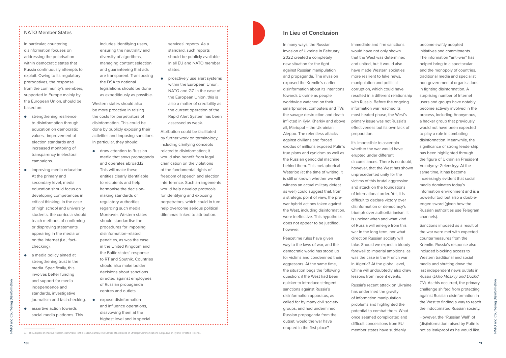#### NATO Member States

In particular, countering disinformation focuses on addressing the polarisation within democratic states that Russia continuously attempts to exploit. Owing to its regulatory prerogatives, the response from the community's members, supported in Europe mainly by the European Union, should be based on:

- $\bullet$  strengthening resilience to disinformation through education on democratic values, improvement of election standards and increased monitoring of transparency in electoral campaigns.
- **•** improving media education. At the primary and secondary level, media education should focus on developing competences in critical thinking. In the case of high school and university students, the curricula should teach methods of confirming or disproving statements appearing in the media or on the internet (i.e., factchecking).
- **•** a media policy aimed at strengthening trust in the media. Specifically, this involves better funding and support for media independence and standards, investigative journalism and fact-checking.
- assertive action towards social media platforms. This
- **•** draw attention to Russian media that sows propaganda and operates abroad.13 This will make these entities clearly identifiable to recipients and help harmonise the decisionmaking standards of regulatory authorities regarding such media. Moreover, Western states should standardise the procedures for imposing disinformation-related penalties, as was the case in the United Kingdom and the Baltic states' response to RT and Sputnik. Countries should also make bolder decisions about sanctions directed against employees
- $\bullet$  expose disinformation and influence operations, disavowing them at the highest level and in special

proactively use alert systems within the European Union, NATO and G7. In the case of the European Union, this is also a matter of credibility as the current operation of the Rapid Alert System has been assessed as weak.

includes identifying users, ensuring the neutrality and diversity of algorithms, managing content selection and guaranteeing that ads are transparent. Transposing the DSA to national legislations should be done as expeditiously as possible.

<span id="page-5-0"></span>

Western states should also be more proactive in raising the costs for perpetrators of disinformation. This could be done by publicly exposing their activities and imposing sanctions. In particular, they should:

> of Russian propaganda centres and outlets.

services' reports. As a standard, such reports should be publicly available in all EU and NATO member states.

Attribution could be facilitated by further work on terminology, including clarifying concepts related to disinformation; it would also benefit from legal clarification on the violations of the fundamental rights of freedom of speech and election interference. Such arrangements would help develop protocols for identifying and exposing perpetrators, which could in turn help overcome serious political dilemmas linked to attribution.



### **In Lieu of Conclusion**

In many ways, the Russian invasion of Ukraine in February 2022 created a completely new situation for the fight against Russian manipulation and propaganda. The invasion exposed the Kremlin's earlier disinformation about its intentions towards Ukraine as people worldwide watched on their smartphones, computers and TVs the savage destruction and death inflicted in Kyiv, Kharkiv and above all, Mariupol – the Ukrainian Aleppo. The relentless attacks against civilians and forced exodus of millions exposed Putin's true plans and cynicism as well as the Russian genocidal machine behind them. This metaphorical Waterloo (at the time of writing, it is still unknown whether we will witness an actual military defeat as well) could suggest that, from a strategic point of view, the prewar hybrid actions taken against the West, including disinformation, were ineffective. This hypothesis does not appear to be justified, however.

Peacetime rules have given way to the laws of war, and the democratic world has stood up for victims and condemned their aggressors. At the same time, the situation begs the following question: if the West had been quicker to introduce stringent sanctions against Russia's disinformation apparatus, as called for by many civil society groups, and had undermined Russian propaganda from the outset, would the war have erupted in the first place?

Immediate and firm sanctions would have not only shown that the West was determined and united, but it would also have made Western societies more resilient to fake news, manipulation and political corruption, which could have resulted in a different relationship with Russia. Before the ongoing information war reached its most heated phase, the West's primary issue was not Russia's effectiveness but its own lack of preparation.

It's impossible to ascertain whether the war would have erupted under different circumstances. There is no doubt, however, that the West has shown unprecedented unity for the victims of this brutal aggression and attack on the foundations of international order. Yet, it is difficult to declare victory over disinformation or democracy's triumph over authoritarianism. It is unclear when and what kind of Russia will emerge from this war in the long term, nor what direction Russian society will take. Should we expect a bloody farewell to imperial ambitions, as was the case in the French war in Algeria? At the global level, China will undoubtedly also draw lessons from recent events.

Russia's recent attack on Ukraine has underlined the gravity of information manipulation problems and highlighted the potential to combat them. What once seemed complicated and difficult concessions from EU member states have suddenly

become swiftly adopted initiatives and commitments. The information "anti-war" has helped bring to a spectacular end the monopoly of countries, traditional media and specialist non-governmental organisations in fighting disinformation. A surprising number of Internet users and groups have notably become actively involved in the process, including Anonymous, a hacker group that previously would not have been expected to play a role in combating disinformation. Meanwhile, the significance of strong leadership has been highlighted through the figure of Ukrainian President Volodymyr Zelenskyy. At the same time, it has become increasingly evident that social media dominates today's information environment and is a powerful tool but also a doubleedged sword (given how the Russian authorities use Telegram channels).

Sanctions imposed as a result of the war were met with expected countermeasures from the Kremlin. Russia's response also included blocking access to Western traditional and social media and shutting down the last independent news outlets in Russia (*Ekho Moskvy and Dozhd TV*). As this occurred, the primary challenge shifted from protecting against Russian disinformation in the West to finding a way to reach the indoctrinated Russian society.

However, the "Russian Wall" of (dis)information raised by Putin is not as leakproof as he would like.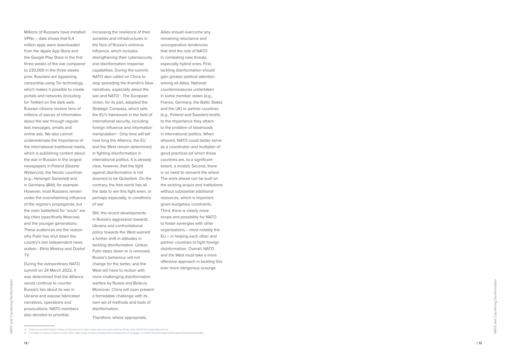NATO and Countering Disinformation  $\frac{1}{2}$ Š **OLYN**  Millions of Russians have installed VPNs – data shows that 6.4 million apps were downloaded from the Apple App Store and the Google Play Store in the first three weeks of the war compared to 230,000 in the three weeks prior. Russians are bypassing censorship using Tor technology, which makes it possible to create portals and networks (including for Twitter) on the dark web. Russian citizens receive tens of millions of pieces of information about the war through regular text messages, emails and online ads. We also cannot underestimate the importance of the international traditional media, which is publishing content about the war in Russian in the largest newspapers in Poland (*Gazeta Wyborcza*), the Nordic countries (e.g., *Helsingin Sanomat*) and in Germany (*Bild*), for example. However, most Russians remain under the overwhelming influence of the regime's propaganda, but the main battlefield for "souls" are big cities (specifically Moscow) and the younger generations. These audiences are the reason why Putin has shut down the country's last independent news outlets - *Ekho Moskvy* and *Dozhd TV*.

During the extraordinary NATO summit on 24 March 2022, it was determined that the Alliance would continue to counter Russia's lies about its war in Ukraine and expose fabricated narratives, operations and provocations. NATO members also decided to prioritise

increasing the resilience of their societies and infrastructures in the face of Russia's ominous influence, which includes strengthening their cybersecurity and disinformation response capabilities. During the summit, NATO also called on China to stop spreading the Kremlin's false narratives, especially about the war and NATO<sup>14</sup>. The European Union, for its part, adopted the Strategic Compass, which sets the EU's framework in the field of international security, including foreign influence and information manipulation<sup>15</sup>. Only time will tell how long the Alliance, the EU and the West remain determined in fighting disinformation in international politics. It is already clear, however, that the fight against disinformation is not doomed to be Quixotism. On the contrary, the free world has all the data to win this fight even, or perhaps especially, in conditions of war.

Still, the recent developments in Russia's aggression towards Ukraine and confrontational policy towards the West warrant a further shift in attitudes in tackling disinformation. Unless Putin steps down or is removed, Russia's behaviour will not change for the better, and the West will have to reckon with more challenging disinformation warfare by Russia and Belarus. Moreover, China will soon present a formidable challenge with its own set of methods and tools of disinformation.

Therefore, where appropriate,

Allies should overcome any remaining reluctance and uncooperative tendencies that limit the role of NATO in combating new threats, especially hybrid ones. First, tackling disinformation should gain greater political attention among all Allies. National countermeasures undertaken in some member states (e.g., France, Germany, the Baltic States and the UK) or partner countries (e.g., Finland and Sweden) testify to the importance they attach to the problem of falsehoods in international politics. When allowed, NATO could better serve as a coordinator and multiplier of good practices (of which these countries are, to a significant extent, a model). Second, there is no need to reinvent the wheel. The work ahead can be built on the existing acquis and institutions without substantial additional resources, which is important given budgetary constraints. Third, there is clearly more scope and possibility for NATO to foster synergies with other organisations – most notably the EU – in helping each other and partner countries to fight foreign disinformation. Overall, NATO and the West must take a more offensive approach in tackling this ever more dangerous scourge.

<sup>14</sup> Statement by NATO Heads of State and Government, [https://www.nato.int/cps/en/natohq/official\\_texts\\_193719.htm?selectedLocale=en](https://www.nato.int/cps/en/natohq/official_texts_193719.htm?selectedLocale=en)

<sup>15</sup> A Strategic Compass for the EU (2022), EEAS, [https://eeas.europa.eu/headquarters/headquarters-homepage\\_en/106337/A%20Strategic%20Compass%20for%20the%20EU](https://eeas.europa.eu/headquarters/headquarters-homepage_en/106337/A%20Strategic%20Compass%20for%20the%20EU)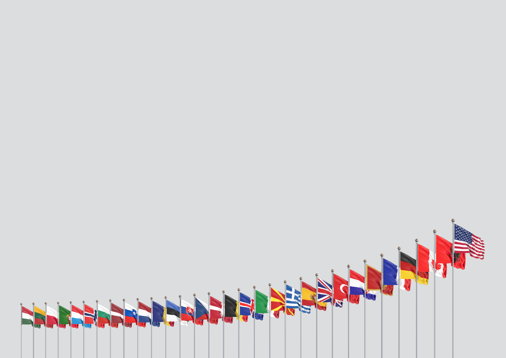